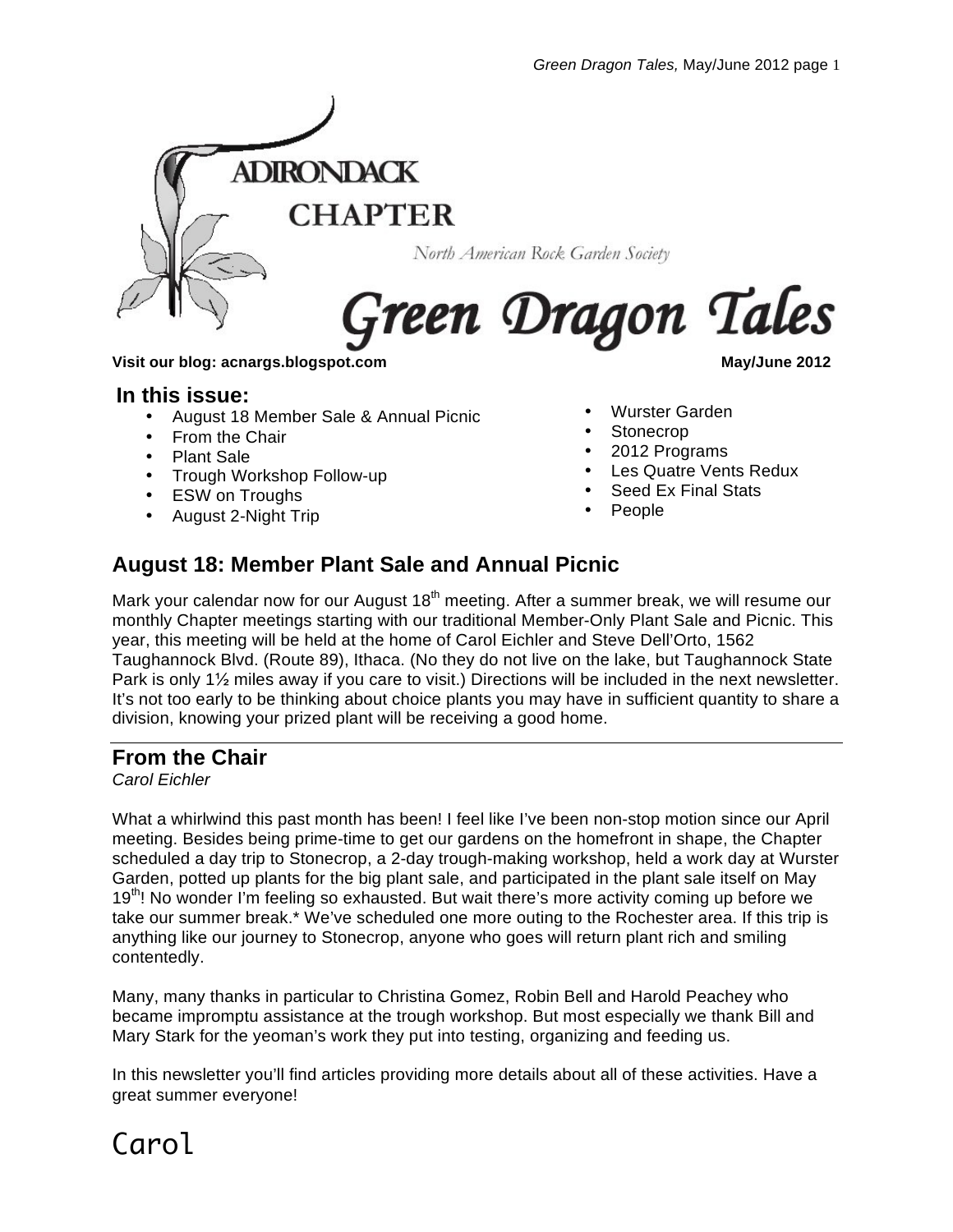

North American Rock Garden Society

# Green Dragon Tales

**Visit our blog: acnargs.blogspot.com May/June 2012**

#### **In this issue:**

- August 18 Member Sale & Annual Picnic
- From the Chair
- Plant Sale
- Trough Workshop Follow-up
- ESW on Troughs
- August 2-Night Trip

• Wurster Garden

- **Stonecrop**
- 2012 Programs
- Les Quatre Vents Redux
- Seed Ex Final Stats
- People

# **August 18: Member Plant Sale and Annual Picnic**

Mark your calendar now for our August 18<sup>th</sup> meeting. After a summer break, we will resume our monthly Chapter meetings starting with our traditional Member-Only Plant Sale and Picnic. This year, this meeting will be held at the home of Carol Eichler and Steve Dell'Orto, 1562 Taughannock Blvd. (Route 89), Ithaca. (No they do not live on the lake, but Taughannock State Park is only 1½ miles away if you care to visit.) Directions will be included in the next newsletter. It's not too early to be thinking about choice plants you may have in sufficient quantity to share a division, knowing your prized plant will be receiving a good home.

#### **From the Chair**

#### *Carol Eichler*

What a whirlwind this past month has been! I feel like I've been non-stop motion since our April meeting. Besides being prime-time to get our gardens on the homefront in shape, the Chapter scheduled a day trip to Stonecrop, a 2-day trough-making workshop, held a work day at Wurster Garden, potted up plants for the big plant sale, and participated in the plant sale itself on May 19<sup>th</sup>! No wonder I'm feeling so exhausted. But wait there's more activity coming up before we take our summer break.\* We've scheduled one more outing to the Rochester area. If this trip is anything like our journey to Stonecrop, anyone who goes will return plant rich and smiling contentedly.

Many, many thanks in particular to Christina Gomez, Robin Bell and Harold Peachey who became impromptu assistance at the trough workshop. But most especially we thank Bill and Mary Stark for the yeoman's work they put into testing, organizing and feeding us.

In this newsletter you'll find articles providing more details about all of these activities. Have a great summer everyone!

Carol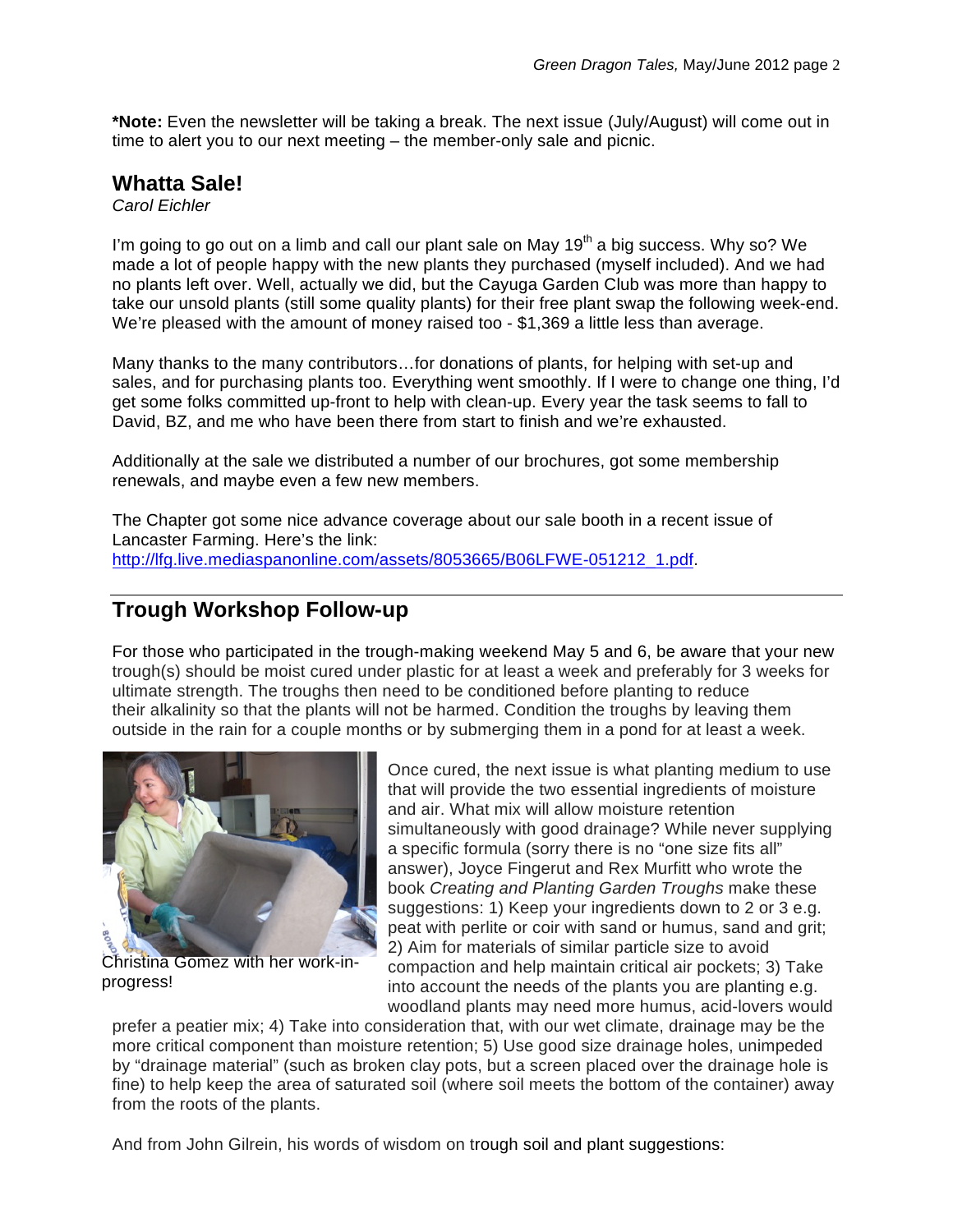**\*Note:** Even the newsletter will be taking a break. The next issue (July/August) will come out in time to alert you to our next meeting – the member-only sale and picnic.

#### **Whatta Sale!**

*Carol Eichler*

I'm going to go out on a limb and call our plant sale on May  $19<sup>th</sup>$  a big success. Why so? We made a lot of people happy with the new plants they purchased (myself included). And we had no plants left over. Well, actually we did, but the Cayuga Garden Club was more than happy to take our unsold plants (still some quality plants) for their free plant swap the following week-end. We're pleased with the amount of money raised too - \$1,369 a little less than average.

Many thanks to the many contributors…for donations of plants, for helping with set-up and sales, and for purchasing plants too. Everything went smoothly. If I were to change one thing, I'd get some folks committed up-front to help with clean-up. Every year the task seems to fall to David, BZ, and me who have been there from start to finish and we're exhausted.

Additionally at the sale we distributed a number of our brochures, got some membership renewals, and maybe even a few new members.

The Chapter got some nice advance coverage about our sale booth in a recent issue of Lancaster Farming. Here's the link: http://lfg.live.mediaspanonline.com/assets/8053665/B06LFWE-051212\_1.pdf.

## **Trough Workshop Follow-up**

For those who participated in the trough-making weekend May 5 and 6, be aware that your new trough(s) should be moist cured under plastic for at least a week and preferably for 3 weeks for ultimate strength. The troughs then need to be conditioned before planting to reduce their alkalinity so that the plants will not be harmed. Condition the troughs by leaving them outside in the rain for a couple months or by submerging them in a pond for at least a week.



Christina Gomez with her work-inprogress!

Once cured, the next issue is what planting medium to use that will provide the two essential ingredients of moisture and air. What mix will allow moisture retention simultaneously with good drainage? While never supplying a specific formula (sorry there is no "one size fits all" answer), Joyce Fingerut and Rex Murfitt who wrote the book *Creating and Planting Garden Troughs* make these suggestions: 1) Keep your ingredients down to 2 or 3 e.g. peat with perlite or coir with sand or humus, sand and grit; 2) Aim for materials of similar particle size to avoid compaction and help maintain critical air pockets; 3) Take into account the needs of the plants you are planting e.g. woodland plants may need more humus, acid-lovers would

prefer a peatier mix; 4) Take into consideration that, with our wet climate, drainage may be the more critical component than moisture retention; 5) Use good size drainage holes, unimpeded by "drainage material" (such as broken clay pots, but a screen placed over the drainage hole is fine) to help keep the area of saturated soil (where soil meets the bottom of the container) away from the roots of the plants.

And from John Gilrein, his words of wisdom on trough soil and plant suggestions: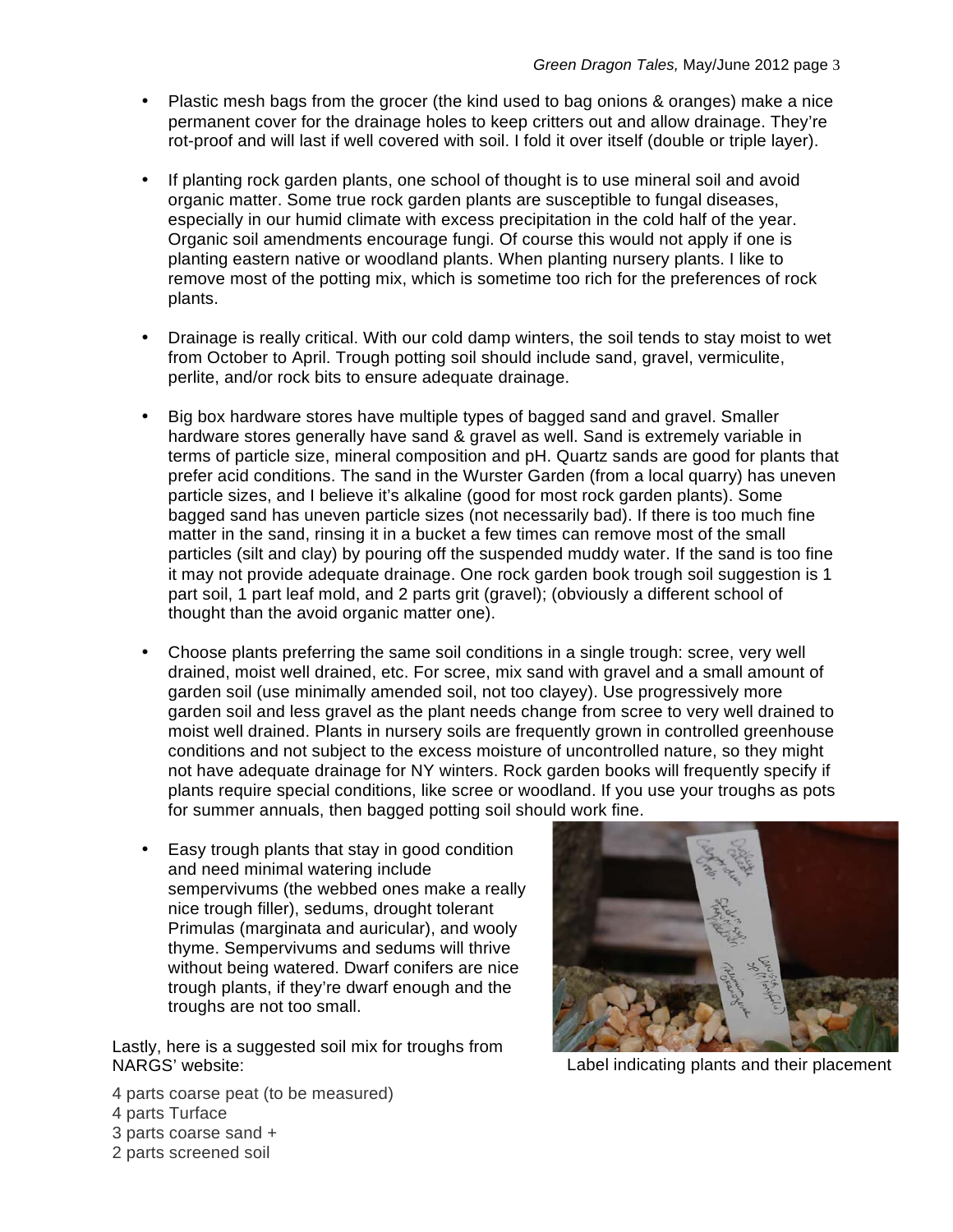- Plastic mesh bags from the grocer (the kind used to bag onions & oranges) make a nice permanent cover for the drainage holes to keep critters out and allow drainage. They're rot-proof and will last if well covered with soil. I fold it over itself (double or triple layer).
- If planting rock garden plants, one school of thought is to use mineral soil and avoid organic matter. Some true rock garden plants are susceptible to fungal diseases, especially in our humid climate with excess precipitation in the cold half of the year. Organic soil amendments encourage fungi. Of course this would not apply if one is planting eastern native or woodland plants. When planting nursery plants. I like to remove most of the potting mix, which is sometime too rich for the preferences of rock plants.
- Drainage is really critical. With our cold damp winters, the soil tends to stay moist to wet from October to April. Trough potting soil should include sand, gravel, vermiculite, perlite, and/or rock bits to ensure adequate drainage.
- Big box hardware stores have multiple types of bagged sand and gravel. Smaller hardware stores generally have sand & gravel as well. Sand is extremely variable in terms of particle size, mineral composition and pH. Quartz sands are good for plants that prefer acid conditions. The sand in the Wurster Garden (from a local quarry) has uneven particle sizes, and I believe it's alkaline (good for most rock garden plants). Some bagged sand has uneven particle sizes (not necessarily bad). If there is too much fine matter in the sand, rinsing it in a bucket a few times can remove most of the small particles (silt and clay) by pouring off the suspended muddy water. If the sand is too fine it may not provide adequate drainage. One rock garden book trough soil suggestion is 1 part soil, 1 part leaf mold, and 2 parts grit (gravel); (obviously a different school of thought than the avoid organic matter one).
- Choose plants preferring the same soil conditions in a single trough: scree, very well drained, moist well drained, etc. For scree, mix sand with gravel and a small amount of garden soil (use minimally amended soil, not too clayey). Use progressively more garden soil and less gravel as the plant needs change from scree to very well drained to moist well drained. Plants in nursery soils are frequently grown in controlled greenhouse conditions and not subject to the excess moisture of uncontrolled nature, so they might not have adequate drainage for NY winters. Rock garden books will frequently specify if plants require special conditions, like scree or woodland. If you use your troughs as pots for summer annuals, then bagged potting soil should work fine.
- Easy trough plants that stay in good condition and need minimal watering include sempervivums (the webbed ones make a really nice trough filler), sedums, drought tolerant Primulas (marginata and auricular), and wooly thyme. Sempervivums and sedums will thrive without being watered. Dwarf conifers are nice trough plants, if they're dwarf enough and the troughs are not too small.

Lastly, here is a suggested soil mix for troughs from NARGS' website:

Label indicating plants and their placement

- 4 parts coarse peat (to be measured) 4 parts Turface 3 parts coarse sand +
- 2 parts screened soil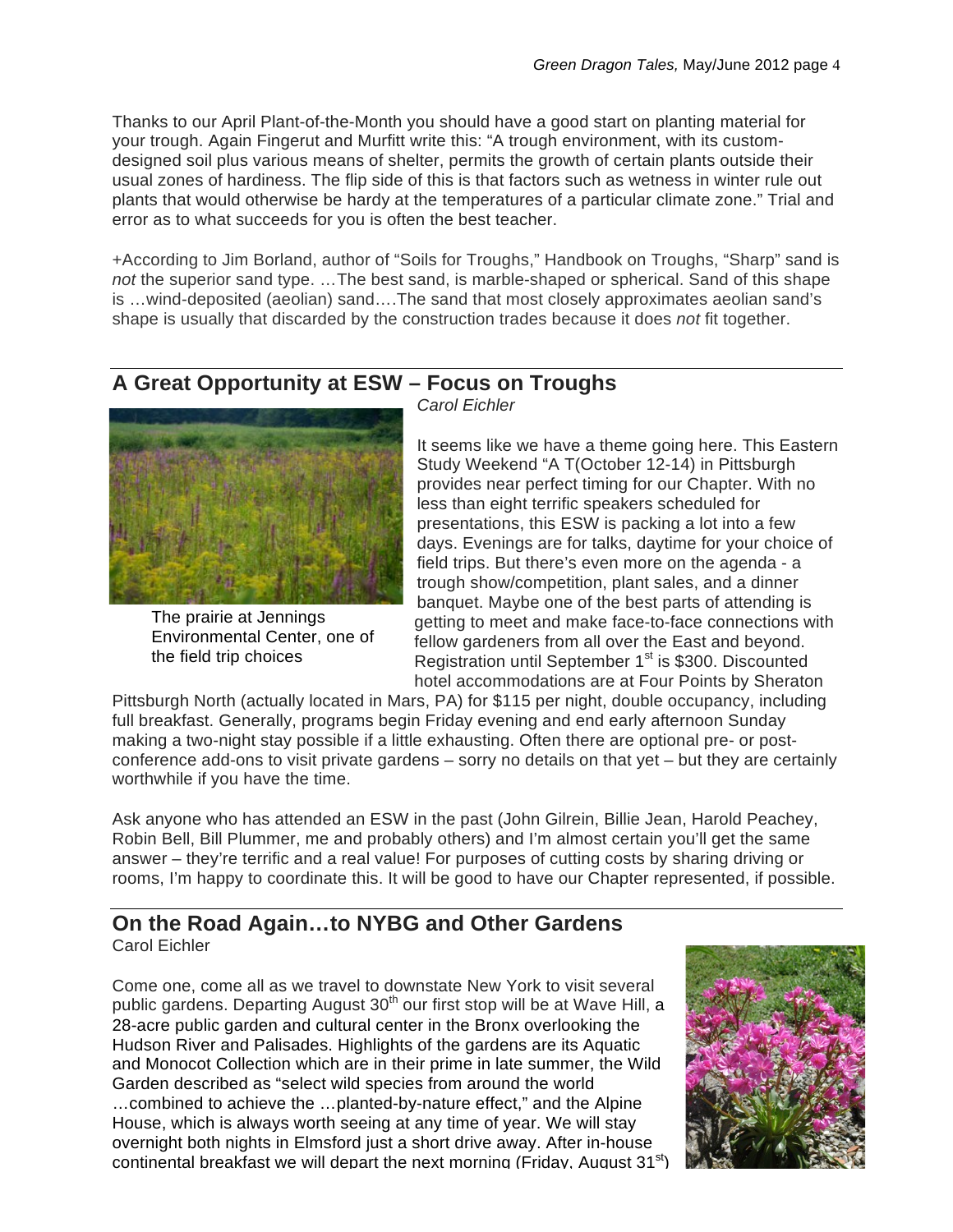Thanks to our April Plant-of-the-Month you should have a good start on planting material for your trough. Again Fingerut and Murfitt write this: "A trough environment, with its customdesigned soil plus various means of shelter, permits the growth of certain plants outside their usual zones of hardiness. The flip side of this is that factors such as wetness in winter rule out plants that would otherwise be hardy at the temperatures of a particular climate zone." Trial and error as to what succeeds for you is often the best teacher.

+According to Jim Borland, author of "Soils for Troughs," Handbook on Troughs, "Sharp" sand is *not* the superior sand type. …The best sand, is marble-shaped or spherical. Sand of this shape is …wind-deposited (aeolian) sand….The sand that most closely approximates aeolian sand's shape is usually that discarded by the construction trades because it does *not* fit together.

## **A Great Opportunity at ESW – Focus on Troughs**



The prairie at Jennings Environmental Center, one of the field trip choices

*Carol Eichler*

It seems like we have a theme going here. This Eastern Study Weekend "A T(October 12-14) in Pittsburgh provides near perfect timing for our Chapter. With no less than eight terrific speakers scheduled for presentations, this ESW is packing a lot into a few days. Evenings are for talks, daytime for your choice of field trips. But there's even more on the agenda - a trough show/competition, plant sales, and a dinner banquet. Maybe one of the best parts of attending is getting to meet and make face-to-face connections with fellow gardeners from all over the East and beyond. Registration until September 1<sup>st</sup> is \$300. Discounted hotel accommodations are at Four Points by Sheraton

Pittsburgh North (actually located in Mars, PA) for \$115 per night, double occupancy, including full breakfast. Generally, programs begin Friday evening and end early afternoon Sunday making a two-night stay possible if a little exhausting. Often there are optional pre- or postconference add-ons to visit private gardens – sorry no details on that yet – but they are certainly worthwhile if you have the time.

Ask anyone who has attended an ESW in the past (John Gilrein, Billie Jean, Harold Peachey, Robin Bell, Bill Plummer, me and probably others) and I'm almost certain you'll get the same answer – they're terrific and a real value! For purposes of cutting costs by sharing driving or rooms, I'm happy to coordinate this. It will be good to have our Chapter represented, if possible.

# **On the Road Again…to NYBG and Other Gardens**

Carol Eichler

Come one, come all as we travel to downstate New York to visit several public gardens. Departing August 30<sup>th</sup> our first stop will be at Wave Hill, a 28-acre public garden and cultural center in the Bronx overlooking the Hudson River and Palisades. Highlights of the gardens are its Aquatic and Monocot Collection which are in their prime in late summer, the Wild Garden described as "select wild species from around the world …combined to achieve the …planted-by-nature effect," and the Alpine House, which is always worth seeing at any time of year. We will stay overnight both nights in Elmsford just a short drive away. After in-house continental breakfast we will depart the next morning (Friday, August  $31<sup>st</sup>$ )



*A Lewisia in bloom*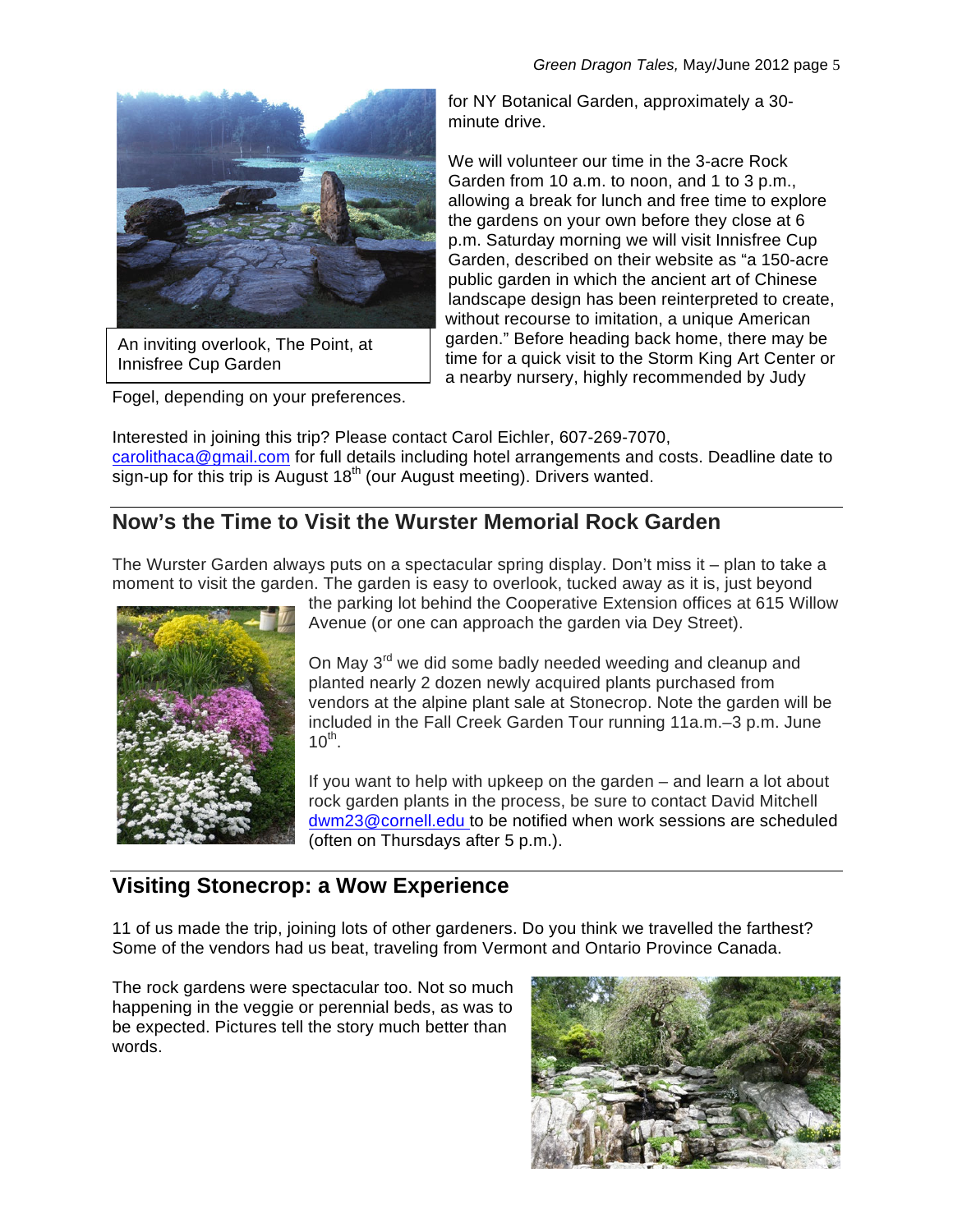

An inviting overlook, The Point, at Innisfree Cup Garden

Fogel, depending on your preferences.

for NY Botanical Garden, approximately a 30 minute drive.

We will volunteer our time in the 3-acre Rock Garden from 10 a.m. to noon, and 1 to 3 p.m., allowing a break for lunch and free time to explore the gardens on your own before they close at 6 p.m. Saturday morning we will visit Innisfree Cup Garden, described on their website as "a 150-acre public garden in which the ancient art of Chinese landscape design has been reinterpreted to create, without recourse to imitation, a unique American garden." Before heading back home, there may be time for a quick visit to the Storm King Art Center or a nearby nursery, highly recommended by Judy

Interested in joining this trip? Please contact Carol Eichler, 607-269-7070, carolithaca@gmail.com for full details including hotel arrangements and costs. Deadline date to sign-up for this trip is August  $18<sup>th</sup>$  (our August meeting). Drivers wanted.

#### **Now's the Time to Visit the Wurster Memorial Rock Garden**

The Wurster Garden always puts on a spectacular spring display. Don't miss it – plan to take a moment to visit the garden. The garden is easy to overlook, tucked away as it is, just beyond



the parking lot behind the Cooperative Extension offices at 615 Willow Avenue (or one can approach the garden via Dey Street).

On May 3<sup>rd</sup> we did some badly needed weeding and cleanup and planted nearly 2 dozen newly acquired plants purchased from vendors at the alpine plant sale at Stonecrop. Note the garden will be included in the Fall Creek Garden Tour running 11a.m.–3 p.m. June  $10^{th}$ .

If you want to help with upkeep on the garden – and learn a lot about rock garden plants in the process, be sure to contact David Mitchell dwm23@cornell.edu to be notified when work sessions are scheduled (often on Thursdays after 5 p.m.).

#### **Visiting Stonecrop: a Wow Experience**

11 of us made the trip, joining lots of other gardeners. Do you think we travelled the farthest? Some of the vendors had us beat, traveling from Vermont and Ontario Province Canada.

The rock gardens were spectacular too. Not so much happening in the veggie or perennial beds, as was to be expected. Pictures tell the story much better than words.

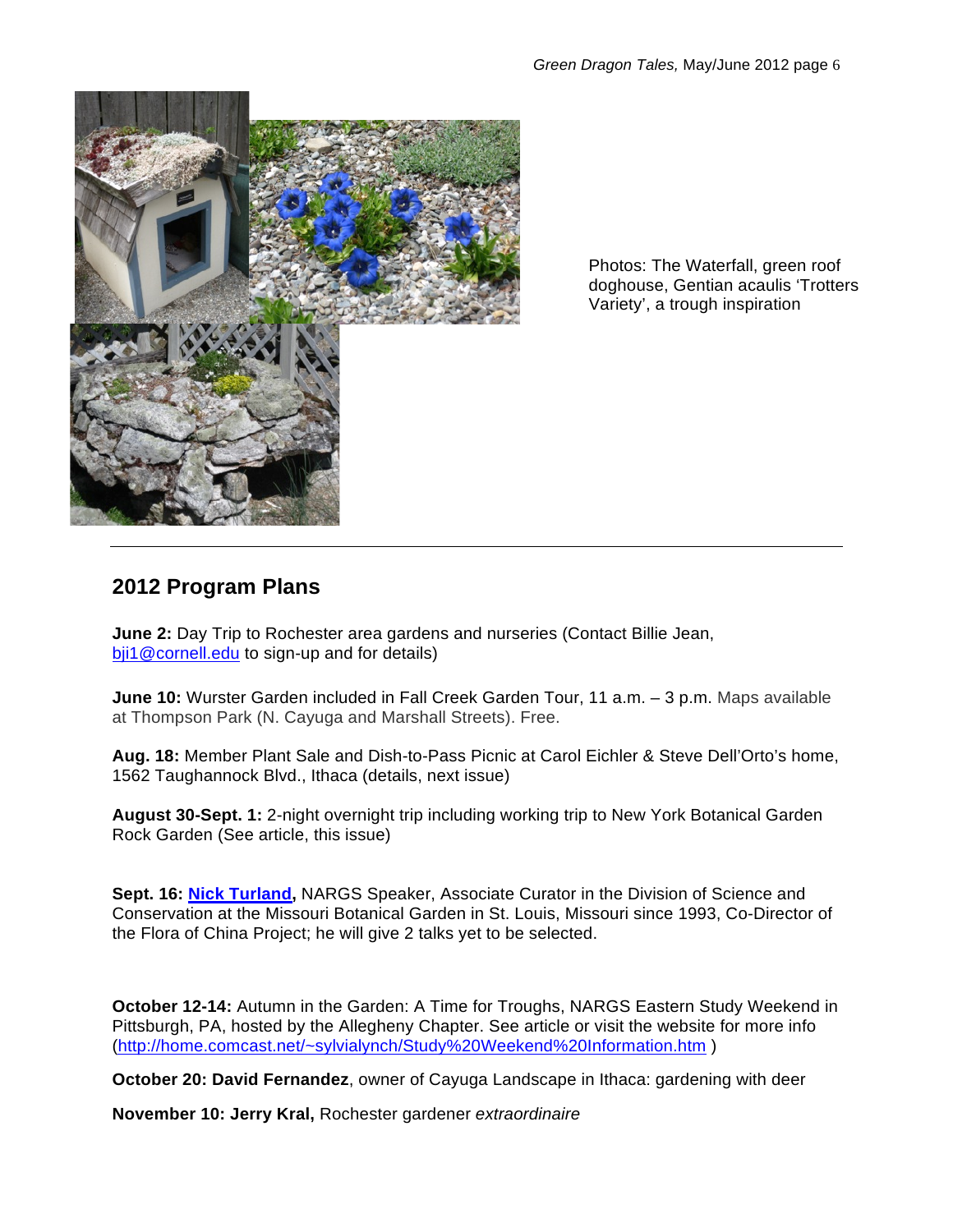

Photos: The Waterfall, green roof doghouse, Gentian acaulis 'Trotters Variety', a trough inspiration

## **2012 Program Plans**

**June 2:** Day Trip to Rochester area gardens and nurseries (Contact Billie Jean, bji1@cornell.edu to sign-up and for details)

**June 10:** Wurster Garden included in Fall Creek Garden Tour, 11 a.m. – 3 p.m. Maps available at Thompson Park (N. Cayuga and Marshall Streets). Free.

**Aug. 18:** Member Plant Sale and Dish-to-Pass Picnic at Carol Eichler & Steve Dell'Orto's home, 1562 Taughannock Blvd., Ithaca (details, next issue)

**August 30-Sept. 1:** 2-night overnight trip including working trip to New York Botanical Garden Rock Garden (See article, this issue)

**Sept. 16: Nick Turland,** NARGS Speaker, Associate Curator in the Division of Science and Conservation at the Missouri Botanical Garden in St. Louis, Missouri since 1993, Co-Director of the Flora of China Project; he will give 2 talks yet to be selected.

**October 12-14:** Autumn in the Garden: A Time for Troughs, NARGS Eastern Study Weekend in Pittsburgh, PA, hosted by the Allegheny Chapter. See article or visit the website for more info (http://home.comcast.net/~sylvialynch/Study%20Weekend%20Information.htm )

**October 20: David Fernandez**, owner of Cayuga Landscape in Ithaca: gardening with deer

**November 10: Jerry Kral,** Rochester gardener *extraordinaire*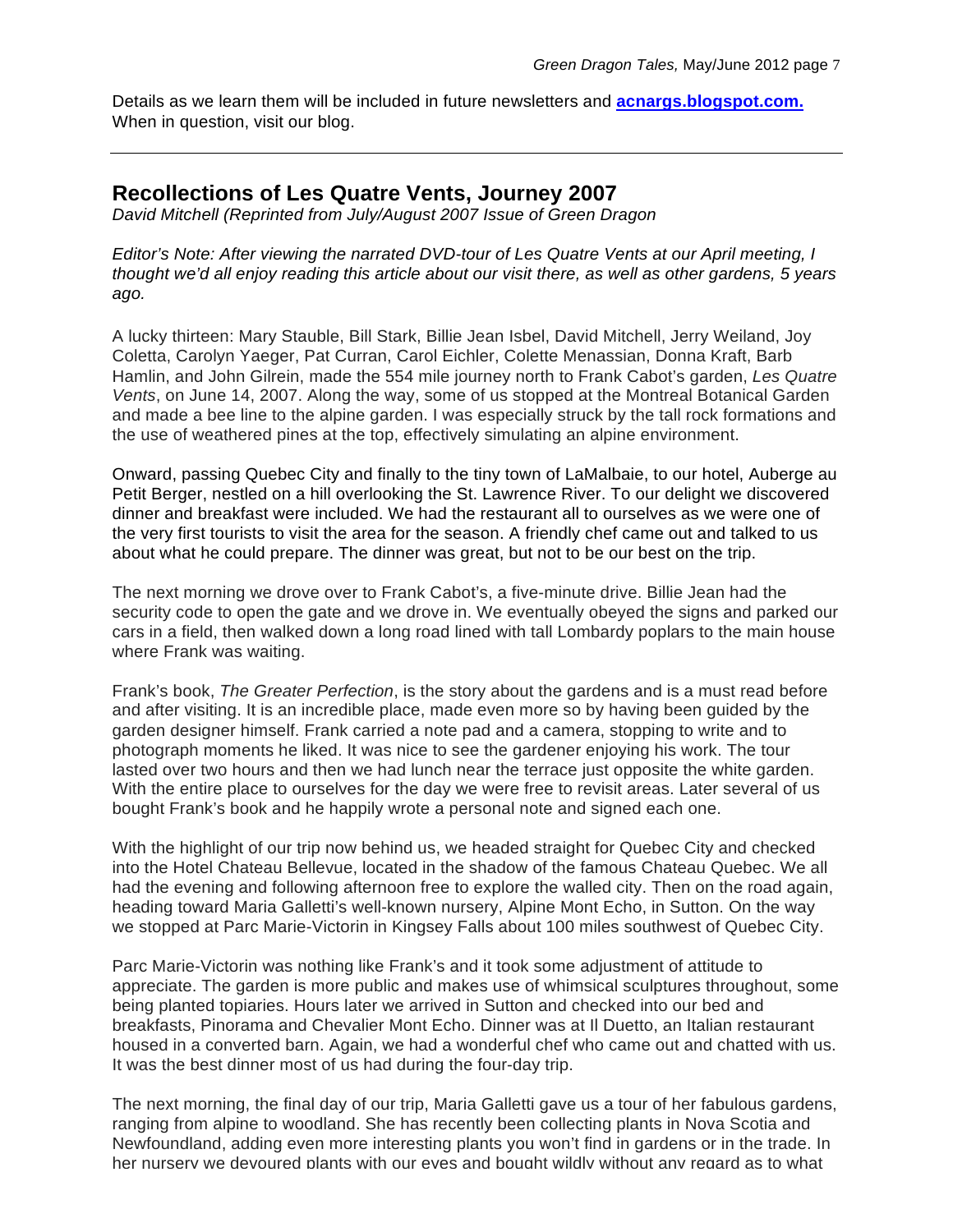Details as we learn them will be included in future newsletters and **acnargs.blogspot.com.** When in question, visit our blog.

#### **Recollections of Les Quatre Vents, Journey 2007**

*David Mitchell (Reprinted from July/August 2007 Issue of Green Dragon*

*Editor's Note: After viewing the narrated DVD-tour of Les Quatre Vents at our April meeting, I thought we'd all enjoy reading this article about our visit there, as well as other gardens, 5 years ago.*

A lucky thirteen: Mary Stauble, Bill Stark, Billie Jean Isbel, David Mitchell, Jerry Weiland, Joy Coletta, Carolyn Yaeger, Pat Curran, Carol Eichler, Colette Menassian, Donna Kraft, Barb Hamlin, and John Gilrein, made the 554 mile journey north to Frank Cabot's garden, *Les Quatre Vents*, on June 14, 2007. Along the way, some of us stopped at the Montreal Botanical Garden and made a bee line to the alpine garden. I was especially struck by the tall rock formations and the use of weathered pines at the top, effectively simulating an alpine environment.

Onward, passing Quebec City and finally to the tiny town of LaMalbaie, to our hotel, Auberge au Petit Berger, nestled on a hill overlooking the St. Lawrence River. To our delight we discovered dinner and breakfast were included. We had the restaurant all to ourselves as we were one of the very first tourists to visit the area for the season. A friendly chef came out and talked to us about what he could prepare. The dinner was great, but not to be our best on the trip.

The next morning we drove over to Frank Cabot's, a five-minute drive. Billie Jean had the security code to open the gate and we drove in. We eventually obeyed the signs and parked our cars in a field, then walked down a long road lined with tall Lombardy poplars to the main house where Frank was waiting.

Frank's book, *The Greater Perfection*, is the story about the gardens and is a must read before and after visiting. It is an incredible place, made even more so by having been guided by the garden designer himself. Frank carried a note pad and a camera, stopping to write and to photograph moments he liked. It was nice to see the gardener enjoying his work. The tour lasted over two hours and then we had lunch near the terrace just opposite the white garden. With the entire place to ourselves for the day we were free to revisit areas. Later several of us bought Frank's book and he happily wrote a personal note and signed each one.

With the highlight of our trip now behind us, we headed straight for Quebec City and checked into the Hotel Chateau Bellevue, located in the shadow of the famous Chateau Quebec. We all had the evening and following afternoon free to explore the walled city. Then on the road again, heading toward Maria Galletti's well-known nursery, Alpine Mont Echo, in Sutton. On the way we stopped at Parc Marie-Victorin in Kingsey Falls about 100 miles southwest of Quebec City.

Parc Marie-Victorin was nothing like Frank's and it took some adjustment of attitude to appreciate. The garden is more public and makes use of whimsical sculptures throughout, some being planted topiaries. Hours later we arrived in Sutton and checked into our bed and breakfasts, Pinorama and Chevalier Mont Echo. Dinner was at Il Duetto, an Italian restaurant housed in a converted barn. Again, we had a wonderful chef who came out and chatted with us. It was the best dinner most of us had during the four-day trip.

The next morning, the final day of our trip, Maria Galletti gave us a tour of her fabulous gardens, ranging from alpine to woodland. She has recently been collecting plants in Nova Scotia and Newfoundland, adding even more interesting plants you won't find in gardens or in the trade. In her nursery we devoured plants with our eyes and bought wildly without any regard as to what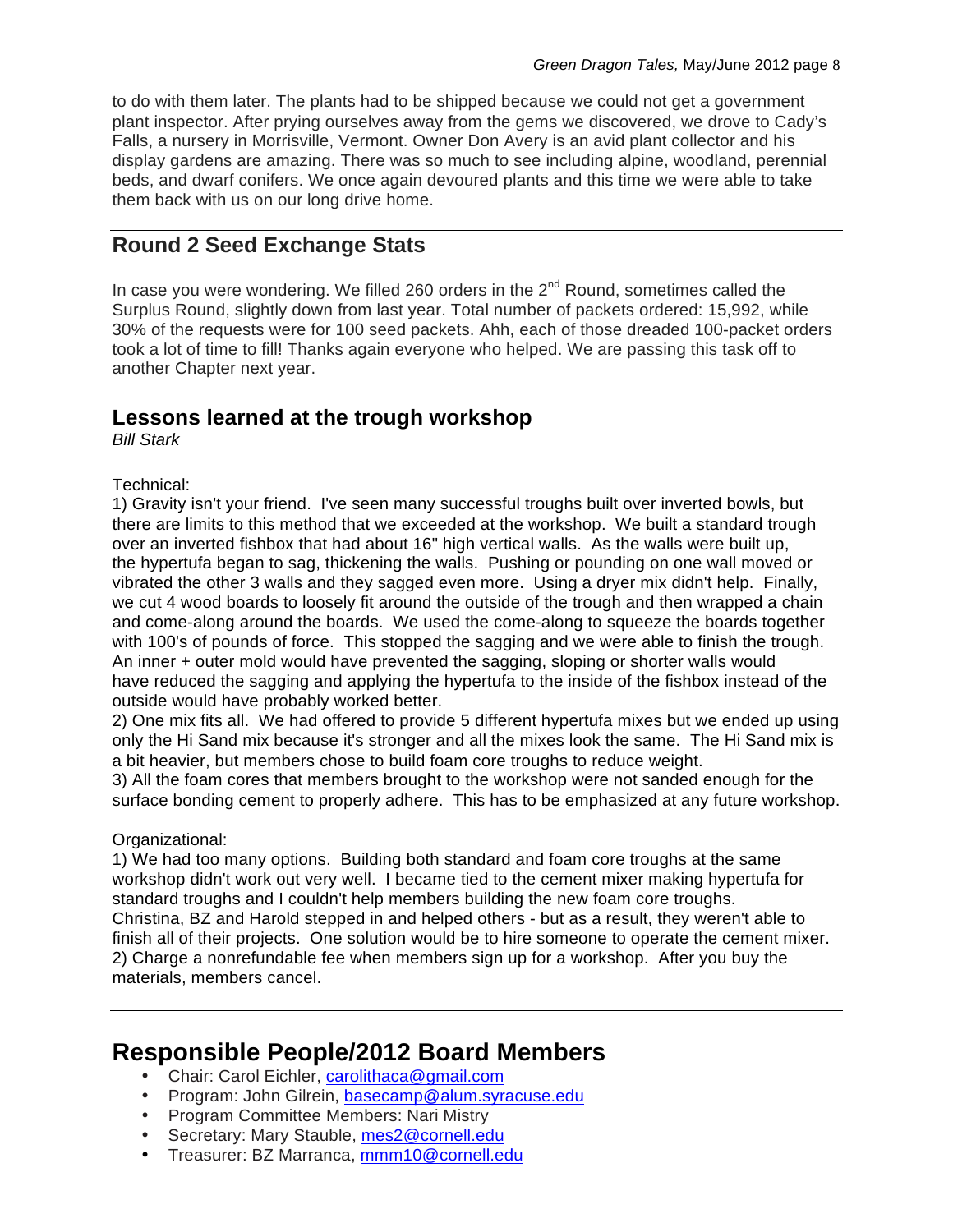to do with them later. The plants had to be shipped because we could not get a government plant inspector. After prying ourselves away from the gems we discovered, we drove to Cady's Falls, a nursery in Morrisville, Vermont. Owner Don Avery is an avid plant collector and his display gardens are amazing. There was so much to see including alpine, woodland, perennial beds, and dwarf conifers. We once again devoured plants and this time we were able to take them back with us on our long drive home.

### **Round 2 Seed Exchange Stats**

In case you were wondering. We filled 260 orders in the  $2<sup>nd</sup>$  Round, sometimes called the Surplus Round, slightly down from last year. Total number of packets ordered: 15,992, while 30% of the requests were for 100 seed packets. Ahh, each of those dreaded 100-packet orders took a lot of time to fill! Thanks again everyone who helped. We are passing this task off to another Chapter next year.

#### **Lessons learned at the trough workshop**

*Bill Stark*

Technical:

1) Gravity isn't your friend. I've seen many successful troughs built over inverted bowls, but there are limits to this method that we exceeded at the workshop. We built a standard trough over an inverted fishbox that had about 16" high vertical walls. As the walls were built up, the hypertufa began to sag, thickening the walls. Pushing or pounding on one wall moved or vibrated the other 3 walls and they sagged even more. Using a dryer mix didn't help. Finally, we cut 4 wood boards to loosely fit around the outside of the trough and then wrapped a chain and come-along around the boards. We used the come-along to squeeze the boards together with 100's of pounds of force. This stopped the sagging and we were able to finish the trough. An inner + outer mold would have prevented the sagging, sloping or shorter walls would have reduced the sagging and applying the hypertufa to the inside of the fishbox instead of the outside would have probably worked better.

2) One mix fits all. We had offered to provide 5 different hypertufa mixes but we ended up using only the Hi Sand mix because it's stronger and all the mixes look the same. The Hi Sand mix is a bit heavier, but members chose to build foam core troughs to reduce weight.

3) All the foam cores that members brought to the workshop were not sanded enough for the surface bonding cement to properly adhere. This has to be emphasized at any future workshop.

#### Organizational:

1) We had too many options. Building both standard and foam core troughs at the same workshop didn't work out very well. I became tied to the cement mixer making hypertufa for standard troughs and I couldn't help members building the new foam core troughs. Christina, BZ and Harold stepped in and helped others - but as a result, they weren't able to finish all of their projects. One solution would be to hire someone to operate the cement mixer. 2) Charge a nonrefundable fee when members sign up for a workshop. After you buy the materials, members cancel.

# **Responsible People/2012 Board Members**

- Chair: Carol Eichler, carolithaca@gmail.com
- Program: John Gilrein, basecamp@alum.syracuse.edu
- Program Committee Members: Nari Mistry
- Secretary: Mary Stauble, mes2@cornell.edu
- Treasurer: BZ Marranca, mmm10@cornell.edu